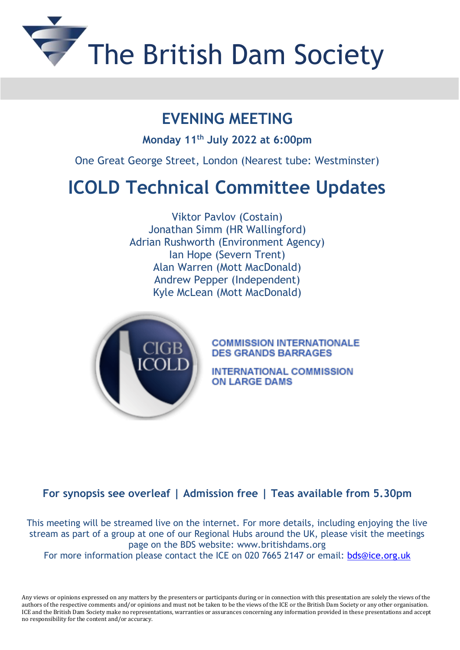

## **EVENING MEETING**

**Monday 11th July 2022 at 6:00pm**

One Great George Street, London (Nearest tube: Westminster)

## **ICOLD Technical Committee Updates**

Viktor Pavlov (Costain) Jonathan Simm (HR Wallingford) Adrian Rushworth (Environment Agency) Ian Hope (Severn Trent) Alan Warren (Mott MacDonald) Andrew Pepper (Independent) Kyle McLean (Mott MacDonald)



**COMMISSION INTERNATIONALE DES GRANDS BARRAGES** 

**INTERNATIONAL COMMISSION** ON LARGE DAMS

## **For synopsis see overleaf | Admission free | Teas available from 5.30pm**

This meeting will be streamed live on the internet. For more details, including enjoying the live stream as part of a group at one of our Regional Hubs around the UK, please visit the meetings page on the BDS website: [www.britishdams.org](http://secure-web.cisco.com/1F_iRPM2HkRqRPfL49c1Xk3j7rWjrXtvFnw9lVJkKgzvcwd82bGCLaf_YJGooXpV1IUSyKnCDRSpPPX1Qd6EyhUUz4cYUgJ2kOj_q3b7bnu0SeZ6HOGcCq-ZpoHAt7yVJQnNJllcxt2o27Y0qGlJcb-USx1qZNwFpYruJnlhv4EBUEqmrqGlMDXcYfvSr6N472EVthceowhKV2FFB6QDnWDcv2B71bFs2xhBRFUAq2v-0SWeQIz7mmtMdvbGxuTVePbrrfw47QuFo7Qta2OjvcXH4fpVa0n83SisLhVl4k3o5GvEnbQctFcEXsSPngvZ4y_aVfb61n7cp0z6ws_Ty2Q/http%3A%2F%2Fwww.britishdams.org) For more information please contact the ICE on 020 7665 2147 or email: [bds@ice.org.uk](mailto:bds@ice.org.uk)

Any views or opinions expressed on any matters by the presenters or participants during or in connection with this presentation are solely the views of the authors of the respective comments and/or opinions and must not be taken to be the views of the ICE or the British Dam Society or any other organisation. ICE and the British Dam Society make no representations, warranties or assurances concerning any information provided in these presentations and accept no responsibility for the content and/or accuracy.